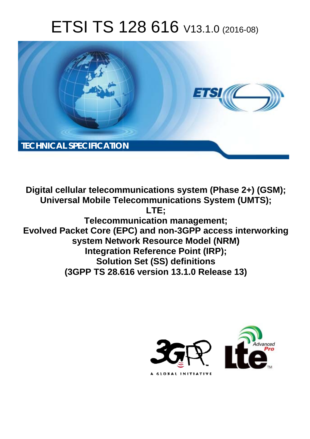# ETSI TS 128 616 V13.1.0 (2016-08)



**Digital cellular telecommunications system (Phase 2+) (GSM); Universal Mobile Tel elecommunications System ( (UMTS); Telecomm munication management; Evolved Packet Core (EPC) and non-3GPP access interworking system Netw twork Resource Model (NRM) Integration Reference Point (IRP); Solutio tion Set (SS) definitions**  system Network Resource Model (NRM)<br>Integration Reference Point (IRP);<br>Solution Set (SS) definitions<br>(3GPP TS 28.616 version 13.1.0 Release 13) **LTE;** 

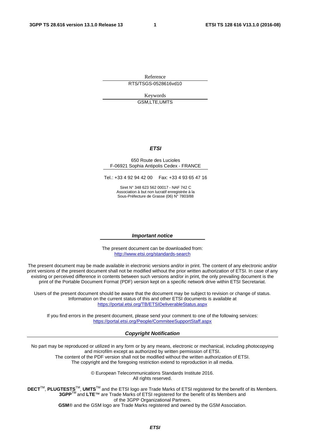Reference RTS/TSGS-0528616vd10

> Keywords GSM,LTE,UMTS

#### *ETSI*

#### 650 Route des Lucioles F-06921 Sophia Antipolis Cedex - FRANCE

Tel.: +33 4 92 94 42 00 Fax: +33 4 93 65 47 16

Siret N° 348 623 562 00017 - NAF 742 C Association à but non lucratif enregistrée à la Sous-Préfecture de Grasse (06) N° 7803/88

#### *Important notice*

The present document can be downloaded from: <http://www.etsi.org/standards-search>

The present document may be made available in electronic versions and/or in print. The content of any electronic and/or print versions of the present document shall not be modified without the prior written authorization of ETSI. In case of any existing or perceived difference in contents between such versions and/or in print, the only prevailing document is the print of the Portable Document Format (PDF) version kept on a specific network drive within ETSI Secretariat.

Users of the present document should be aware that the document may be subject to revision or change of status. Information on the current status of this and other ETSI documents is available at <https://portal.etsi.org/TB/ETSIDeliverableStatus.aspx>

If you find errors in the present document, please send your comment to one of the following services: <https://portal.etsi.org/People/CommiteeSupportStaff.aspx>

#### *Copyright Notification*

No part may be reproduced or utilized in any form or by any means, electronic or mechanical, including photocopying and microfilm except as authorized by written permission of ETSI.

The content of the PDF version shall not be modified without the written authorization of ETSI. The copyright and the foregoing restriction extend to reproduction in all media.

> © European Telecommunications Standards Institute 2016. All rights reserved.

**DECT**TM, **PLUGTESTS**TM, **UMTS**TM and the ETSI logo are Trade Marks of ETSI registered for the benefit of its Members. **3GPP**TM and **LTE**™ are Trade Marks of ETSI registered for the benefit of its Members and of the 3GPP Organizational Partners.

**GSM**® and the GSM logo are Trade Marks registered and owned by the GSM Association.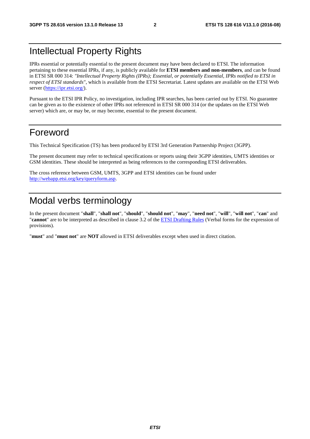### Intellectual Property Rights

IPRs essential or potentially essential to the present document may have been declared to ETSI. The information pertaining to these essential IPRs, if any, is publicly available for **ETSI members and non-members**, and can be found in ETSI SR 000 314: *"Intellectual Property Rights (IPRs); Essential, or potentially Essential, IPRs notified to ETSI in respect of ETSI standards"*, which is available from the ETSI Secretariat. Latest updates are available on the ETSI Web server [\(https://ipr.etsi.org/](https://ipr.etsi.org/)).

Pursuant to the ETSI IPR Policy, no investigation, including IPR searches, has been carried out by ETSI. No guarantee can be given as to the existence of other IPRs not referenced in ETSI SR 000 314 (or the updates on the ETSI Web server) which are, or may be, or may become, essential to the present document.

### Foreword

This Technical Specification (TS) has been produced by ETSI 3rd Generation Partnership Project (3GPP).

The present document may refer to technical specifications or reports using their 3GPP identities, UMTS identities or GSM identities. These should be interpreted as being references to the corresponding ETSI deliverables.

The cross reference between GSM, UMTS, 3GPP and ETSI identities can be found under [http://webapp.etsi.org/key/queryform.asp.](http://webapp.etsi.org/key/queryform.asp)

### Modal verbs terminology

In the present document "**shall**", "**shall not**", "**should**", "**should not**", "**may**", "**need not**", "**will**", "**will not**", "**can**" and "**cannot**" are to be interpreted as described in clause 3.2 of the [ETSI Drafting Rules](https://portal.etsi.org/Services/editHelp!/Howtostart/ETSIDraftingRules.aspx) (Verbal forms for the expression of provisions).

"**must**" and "**must not**" are **NOT** allowed in ETSI deliverables except when used in direct citation.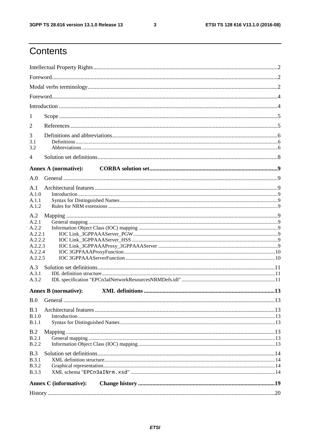$\mathbf{3}$ 

## Contents

| 1                  |                               |  |  |  |  |  |  |
|--------------------|-------------------------------|--|--|--|--|--|--|
|                    |                               |  |  |  |  |  |  |
| 2                  |                               |  |  |  |  |  |  |
| 3<br>3.1           |                               |  |  |  |  |  |  |
| 3.2                |                               |  |  |  |  |  |  |
| 4                  |                               |  |  |  |  |  |  |
|                    |                               |  |  |  |  |  |  |
|                    | <b>Annex A (normative):</b>   |  |  |  |  |  |  |
| A.0                |                               |  |  |  |  |  |  |
| A.1                |                               |  |  |  |  |  |  |
| A.1.0<br>A.1.1     |                               |  |  |  |  |  |  |
| A.1.2              |                               |  |  |  |  |  |  |
| A.2                |                               |  |  |  |  |  |  |
| A.2.1              |                               |  |  |  |  |  |  |
| A.2.2              |                               |  |  |  |  |  |  |
| A.2.2.1            |                               |  |  |  |  |  |  |
| A.2.2.2            |                               |  |  |  |  |  |  |
| A.2.2.3<br>A.2.2.4 |                               |  |  |  |  |  |  |
| A.2.2.5            |                               |  |  |  |  |  |  |
| A.3                |                               |  |  |  |  |  |  |
| A.3.1              |                               |  |  |  |  |  |  |
| A.3.2              |                               |  |  |  |  |  |  |
|                    | <b>Annex B</b> (normative):   |  |  |  |  |  |  |
| B.0                |                               |  |  |  |  |  |  |
|                    |                               |  |  |  |  |  |  |
| B.1<br>B.1.0       |                               |  |  |  |  |  |  |
| <b>B.1.1</b>       |                               |  |  |  |  |  |  |
| B.2                |                               |  |  |  |  |  |  |
| B.2.1              |                               |  |  |  |  |  |  |
| B.2.2              |                               |  |  |  |  |  |  |
| B.3                |                               |  |  |  |  |  |  |
| B.3.1              |                               |  |  |  |  |  |  |
| <b>B.3.2</b>       |                               |  |  |  |  |  |  |
| <b>B.3.3</b>       |                               |  |  |  |  |  |  |
|                    | <b>Annex C</b> (informative): |  |  |  |  |  |  |
|                    |                               |  |  |  |  |  |  |
|                    |                               |  |  |  |  |  |  |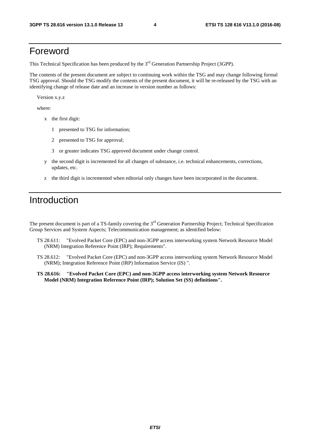#### Foreword

This Technical Specification has been produced by the 3<sup>rd</sup> Generation Partnership Project (3GPP).

The contents of the present document are subject to continuing work within the TSG and may change following formal TSG approval. Should the TSG modify the contents of the present document, it will be re-released by the TSG with an identifying change of release date and an increase in version number as follows:

Version x.y.z

where:

- x the first digit:
	- 1 presented to TSG for information;
	- 2 presented to TSG for approval;
	- 3 or greater indicates TSG approved document under change control.
- y the second digit is incremented for all changes of substance, i.e. technical enhancements, corrections, updates, etc.
- z the third digit is incremented when editorial only changes have been incorporated in the document.

### Introduction

The present document is part of a TS-family covering the 3<sup>rd</sup> Generation Partnership Project; Technical Specification Group Services and System Aspects; Telecommunication management; as identified below:

- TS 28.611: "Evolved Packet Core (EPC) and non-3GPP access interworking system Network Resource Model (NRM) Integration Reference Point (IRP); Requirements".
- TS 28.612: "Evolved Packet Core (EPC) and non-3GPP access interworking system Network Resource Model (NRM); Integration Reference Point (IRP) Information Service (IS) ".
- **TS 28.616: "Evolved Packet Core (EPC) and non-3GPP access interworking system Network Resource Model (NRM) Integration Reference Point (IRP); Solution Set (SS) definitions".**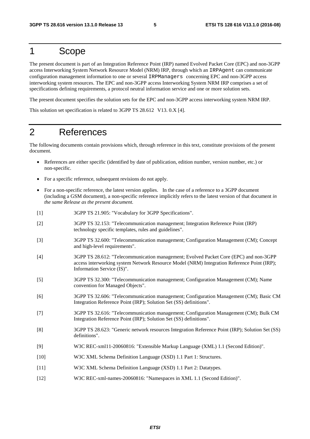#### 1 Scope

The present document is part of an Integration Reference Point (IRP) named Evolved Packet Core (EPC) and non-3GPP access Interworking System Network Resource Model (NRM) IRP, through which an IRPAgent can communicate configuration management information to one or several IRPManagers concerning EPC and non-3GPP access interworking system resources. The EPC and non-3GPP access Interworking System NRM IRP comprises a set of specifications defining requirements, a protocol neutral information service and one or more solution sets.

The present document specifies the solution sets for the EPC and non-3GPP access interworking system NRM IRP.

This solution set specification is related to 3GPP TS 28.612 V13. 0.X [4].

### 2 References

The following documents contain provisions which, through reference in this text, constitute provisions of the present document.

- References are either specific (identified by date of publication, edition number, version number, etc.) or non-specific.
- For a specific reference, subsequent revisions do not apply.
- For a non-specific reference, the latest version applies. In the case of a reference to a 3GPP document (including a GSM document), a non-specific reference implicitly refers to the latest version of that document *in the same Release as the present document*.
- [1] 3GPP TS 21.905: "Vocabulary for 3GPP Specifications".
- [2] 3GPP TS 32.153: "Telecommunication management; Integration Reference Point (IRP) technology specific templates, rules and guidelines".
- [3] 3GPP TS 32.600: "Telecommunication management; Configuration Management (CM); Concept and high-level requirements".
- [4] 3GPP TS 28.612: "Telecommunication management; Evolved Packet Core (EPC) and non-3GPP access interworking system Network Resource Model (NRM) Integration Reference Point (IRP); Information Service (IS)".
- [5] 3GPP TS 32.300: "Telecommunication management; Configuration Management (CM); Name convention for Managed Objects".
- [6] 3GPP TS 32.606: "Telecommunication management; Configuration Management (CM); Basic CM Integration Reference Point (IRP); Solution Set (SS) definitions".
- [7] 3GPP TS 32.616: "Telecommunication management; Configuration Management (CM); Bulk CM Integration Reference Point (IRP); Solution Set (SS) definitions".
- [8] 3GPP TS 28.623: "Generic network resources Integration Reference Point (IRP); Solution Set (SS) definitions".
- [9] W3C REC-xml11-20060816: "Extensible Markup Language (XML) 1.1 (Second Edition)".
- [10] W3C XML Schema Definition Language (XSD) 1.1 Part 1: Structures.
- [11] W3C XML Schema Definition Language (XSD) 1.1 Part 2: Datatypes.
- [12] W3C REC-xml-names-20060816: "Namespaces in XML 1.1 (Second Edition)".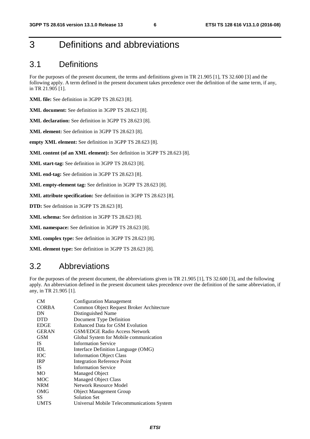## 3 Definitions and abbreviations

#### 3.1 Definitions

For the purposes of the present document, the terms and definitions given in TR 21.905 [1], TS 32.600 [3] and the following apply. A term defined in the present document takes precedence over the definition of the same term, if any, in TR 21.905 [1].

**XML file:** See definition in 3GPP TS 28.623 [8].

**XML document:** See definition in 3GPP TS 28.623 [8].

**XML declaration:** See definition in 3GPP TS 28.623 [8].

**XML element:** See definition in 3GPP TS 28.623 [8].

**empty XML element:** See definition in 3GPP TS 28.623 [8].

**XML content (of an XML element):** See definition in 3GPP TS 28.623 [8].

**XML start-tag:** See definition in 3GPP TS 28.623 [8].

**XML end-tag:** See definition in 3GPP TS 28.623 [8].

**XML empty-element tag:** See definition in 3GPP TS 28.623 [8].

**XML attribute specification:** See definition in 3GPP TS 28.623 [8].

**DTD:** See definition in 3GPP TS 28.623 [8].

**XML schema:** See definition in 3GPP TS 28.623 [8].

**XML namespace:** See definition in 3GPP TS 28.623 [8].

**XML complex type:** See definition in 3GPP TS 28.623 [8].

**XML element type:** See definition in 3GPP TS 28.623 [8].

#### 3.2 Abbreviations

For the purposes of the present document, the abbreviations given in TR 21.905 [1], TS 32.600 [3], and the following apply. An abbreviation defined in the present document takes precedence over the definition of the same abbreviation, if any, in TR 21.905 [1].

| CM <sub></sub> | <b>Configuration Management</b>            |
|----------------|--------------------------------------------|
| <b>CORBA</b>   | Common Object Request Broker Architecture  |
| DN             | Distinguished Name                         |
| <b>DTD</b>     | Document Type Definition                   |
| <b>EDGE</b>    | Enhanced Data for GSM Evolution            |
| <b>GERAN</b>   | <b>GSM/EDGE Radio Access Network</b>       |
| <b>GSM</b>     | Global System for Mobile communication     |
| <b>IS</b>      | <b>Information Service</b>                 |
| <b>IDL</b>     | Interface Definition Language (OMG)        |
| <b>TOC</b>     | <b>Information Object Class</b>            |
| <b>IRP</b>     | <b>Integration Reference Point</b>         |
| IS.            | <b>Information Service</b>                 |
| <b>MO</b>      | Managed Object                             |
| <b>MOC</b>     | <b>Managed Object Class</b>                |
| <b>NRM</b>     | Network Resource Model                     |
| OMG            | <b>Object Management Group</b>             |
| SS.            | <b>Solution Set</b>                        |
| <b>UMTS</b>    | Universal Mobile Telecommunications System |
|                |                                            |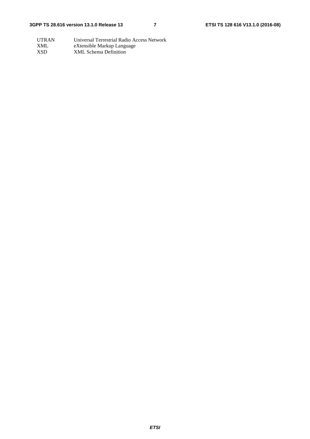UTRAN Universal Terrestrial Radio Access Network XML eXtensible Markup Language<br>XSD XML Schema Definition XML Schema Definition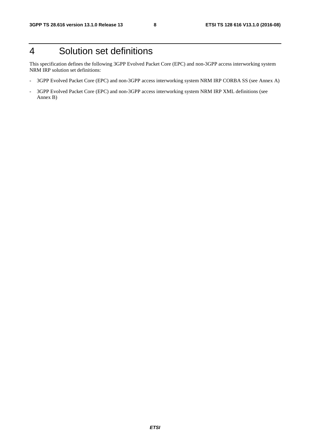## 4 Solution set definitions

This specification defines the following 3GPP Evolved Packet Core (EPC) and non-3GPP access interworking system NRM IRP solution set definitions:

- 3GPP Evolved Packet Core (EPC) and non-3GPP access interworking system NRM IRP CORBA SS (see Annex A)
- 3GPP Evolved Packet Core (EPC) and non-3GPP access interworking system NRM IRP XML definitions (see Annex B)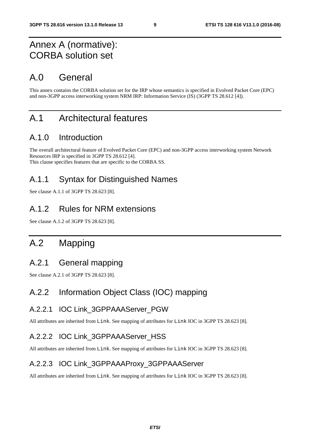### Annex A (normative): CORBA solution set

### A.0 General

This annex contains the CORBA solution set for the IRP whose semantics is specified in Evolved Packet Core (EPC) and non-3GPP access interworking system NRM IRP: Information Service (IS) (3GPP TS 28.612 [4]).

### A.1 Architectural features

#### A.1.0 Introduction

The overall architectural feature of Evolved Packet Core (EPC) and non-3GPP access interworking system Network Resources IRP is specified in 3GPP TS 28.612 [4]. This clause specifies features that are specific to the CORBA SS.

### A.1.1 Syntax for Distinguished Names

See clause A.1.1 of 3GPP TS 28.623 [8].

#### A.1.2 Rules for NRM extensions

See clause A.1.2 of 3GPP TS 28.623 [8].

### A.2 Mapping

#### A.2.1 General mapping

See clause A.2.1 of 3GPP TS 28.623 [8].

#### A.2.2 Information Object Class (IOC) mapping

#### A.2.2.1 IOC Link 3GPPAAAServer PGW

All attributes are inherited from Link. See mapping of attributes for Link IOC in 3GPP TS 28.623 [8].

#### A.2.2.2 IOC Link 3GPPAAAServer HSS

All attributes are inherited from Link. See mapping of attributes for Link IOC in 3GPP TS 28.623 [8].

#### A.2.2.3 IOC Link\_3GPPAAAProxy\_3GPPAAAServer

All attributes are inherited from Link. See mapping of attributes for Link IOC in 3GPP TS 28.623 [8].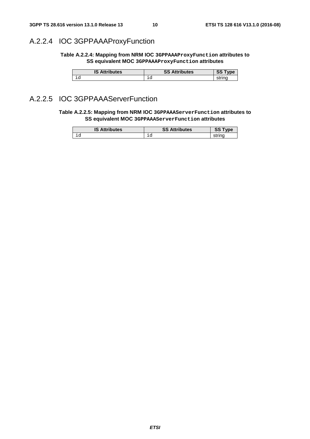### A.2.2.4 IOC 3GPPAAAProxyFunction

**Table A.2.2.4: Mapping from NRM IOC 3GPPAAAProxyFunction attributes to SS equivalent MOC 3GPPAAAProxyFunction attributes** 

| <b>Attributes</b><br>IS | c.<br><b>Attributes</b><br>55 | <b>vne</b><br>৩৩ |
|-------------------------|-------------------------------|------------------|
| ∸∽                      | ∽<br>∸~                       | -----<br>จแ      |

#### A.2.2.5 IOC 3GPPAAAServerFunction

**Table A.2.2.5: Mapping from NRM IOC 3GPPAAAServerFunction attributes to SS equivalent MOC 3GPPAAAServerFunction attributes** 

| <b>IS Attributes</b> | <b>SS Attributes</b> | <b>COLOR</b><br>৩৩ |
|----------------------|----------------------|--------------------|
| ∸~                   | ∸∽                   | strino             |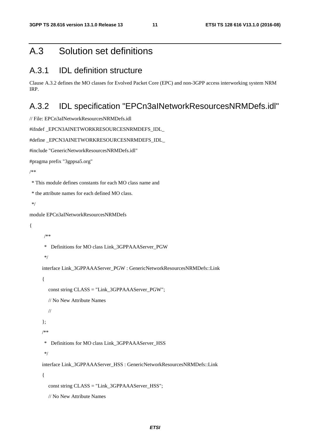### A.3 Solution set definitions

### A.3.1 IDL definition structure

```
Clause A.3.2 defines the MO classes for Evolved Packet Core (EPC) and non-3GPP access interworking system NRM 
IRP.
```
#### A.3.2 IDL specification "EPCn3aINetworkResourcesNRMDefs.idl"

```
// File: EPCn3aINetworkResourcesNRMDefs.idl
```

```
#ifndef _EPCN3AINETWORKRESOURCESNRMDEFS_IDL_
```

```
#define EPCN3AINETWORKRESOURCESNRMDEFS_IDL
```

```
#include "GenericNetworkResourcesNRMDefs.idl"
```
#pragma prefix "3gppsa5.org"

/\*\*

\* This module defines constants for each MO class name and

```
 * the attribute names for each defined MO class.
```
\*/

module EPCn3aINetworkResourcesNRMDefs

{

/\*\*

```
 * Definitions for MO class Link_3GPPAAAServer_PGW
```

```
 */
```
interface Link\_3GPPAAAServer\_PGW : GenericNetworkResourcesNRMDefs::Link

{

```
 const string CLASS = "Link_3GPPAAAServer_PGW";
```
// No New Attribute Names

```
 //
```

```
 };
```
/\*\*

\* Definitions for MO class Link\_3GPPAAAServer\_HSS

\*/

interface Link\_3GPPAAAServer\_HSS : GenericNetworkResourcesNRMDefs::Link

{

const string  $CLASS = "Link 3GPPAAAServer HSS";$ 

// No New Attribute Names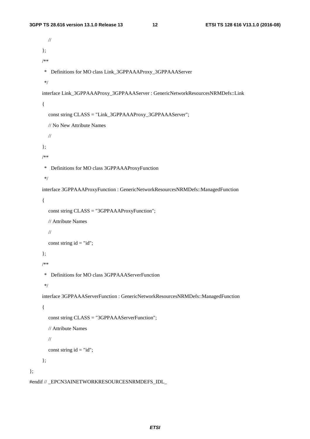```
 // 
 }; 
 /** 
  * Definitions for MO class Link_3GPPAAAProxy_3GPPAAAServer 
  */ 
interface Link_3GPPAAAProxy_3GPPAAAServer : GenericNetworkResourcesNRMDefs::Link
 { 
   const string CLASS = "Link_3GPPAAAProxy_3GPPAAAServer"; 
   // No New Attribute Names 
   // 
 }; 
 /** 
  * Definitions for MO class 3GPPAAAProxyFunction 
  */ 
 interface 3GPPAAAProxyFunction : GenericNetworkResourcesNRMDefs::ManagedFunction 
 { 
   const string CLASS = "3GPPAAAProxyFunction"; 
   // Attribute Names 
   // 
  const string id = "id"; }; 
 /** 
  * Definitions for MO class 3GPPAAAServerFunction 
  */ 
 interface 3GPPAAAServerFunction : GenericNetworkResourcesNRMDefs::ManagedFunction 
 { 
   const string CLASS = "3GPPAAAServerFunction"; 
   // Attribute Names 
   // 
  const string id = "id"; };
```

```
#endif // EPCN3AINETWORKRESOURCESNRMDEFS_IDL
```
};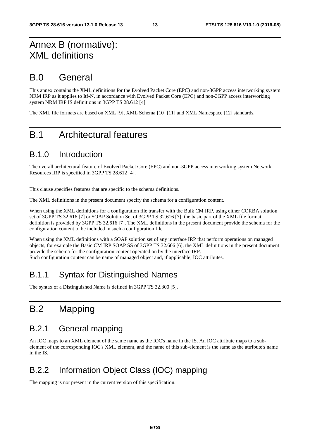## Annex B (normative): XML definitions

## B.0 General

This annex contains the XML definitions for the Evolved Packet Core (EPC) and non-3GPP access interworking system NRM IRP as it applies to Itf-N, in accordance with Evolved Packet Core (EPC) and non-3GPP access interworking system NRM IRP IS definitions in 3GPP TS 28.612 [4].

The XML file formats are based on XML [9], XML Schema [10] [11] and XML Namespace [12] standards.

## B.1 Architectural features

#### B.1.0 Introduction

The overall architectural feature of Evolved Packet Core (EPC) and non-3GPP access interworking system Network Resources IRP is specified in 3GPP TS 28.612 [4].

This clause specifies features that are specific to the schema definitions.

The XML definitions in the present document specify the schema for a configuration content.

When using the XML definitions for a configuration file transfer with the Bulk CM IRP, using either CORBA solution set of 3GPP TS 32.616 [7] or SOAP Solution Set of 3GPP TS 32.616 [7], the basic part of the XML file format definition is provided by 3GPP TS 32.616 [7]. The XML definitions in the present document provide the schema for the configuration content to be included in such a configuration file.

When using the XML definitions with a SOAP solution set of any interface IRP that perform operations on managed objects, for example the Basic CM IRP SOAP SS of 3GPP TS 32.606 [6], the XML definitions in the present document provide the schema for the configuration content operated on by the interface IRP. Such configuration content can be name of managed object and, if applicable, IOC attributes.

### B.1.1 Syntax for Distinguished Names

The syntax of a Distinguished Name is defined in 3GPP TS 32.300 [5].

## B.2 Mapping

### B.2.1 General mapping

An IOC maps to an XML element of the same name as the IOC's name in the IS. An IOC attribute maps to a subelement of the corresponding IOC's XML element, and the name of this sub-element is the same as the attribute's name in the IS.

### B.2.2 Information Object Class (IOC) mapping

The mapping is not present in the current version of this specification.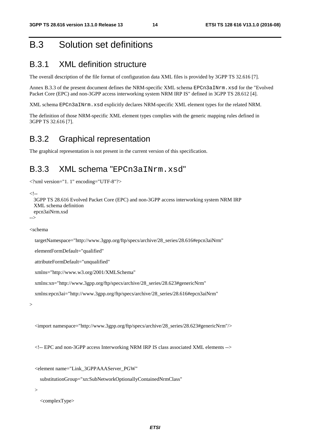### B.3 Solution set definitions

#### B.3.1 XML definition structure

The overall description of the file format of configuration data XML files is provided by 3GPP TS 32.616 [7].

Annex B.3.3 of the present document defines the NRM-specific XML schema EPCn3aINrm.xsd for the "Evolved Packet Core (EPC) and non-3GPP access interworking system NRM IRP IS" defined in 3GPP TS 28.612 [4].

XML schema EPCn3aINrm.xsd explicitly declares NRM-specific XML element types for the related NRM.

The definition of those NRM-specific XML element types complies with the generic mapping rules defined in 3GPP TS 32.616 [7].

#### B.3.2 Graphical representation

The graphical representation is not present in the current version of this specification.

### B.3.3 XML schema "EPCn3aINrm.xsd"

```
<?xml version="1. 1" encoding="UTF-8"?>
```

```
\geq \sim \sim
```

```
 3GPP TS 28.616 Evolved Packet Core (EPC) and non-3GPP access interworking system NRM IRP 
 XML schema definition 
 epcn3aiNrm.xsd
```
-->

<schema

```
 targetNamespace="http://www.3gpp.org/ftp/specs/archive/28_series/28.616#epcn3aiNrm"
```
elementFormDefault="qualified"

attributeFormDefault="unqualified"

xmlns="http://www.w3.org/2001/XMLSchema"

xmlns:xn="http://www.3gpp.org/ftp/specs/archive/28\_series/28.623#genericNrm"

xmlns:epcn3ai="http://www.3gpp.org/ftp/specs/archive/28\_series/28.616#epcn3aiNrm"

 $\ddot{\phantom{1}}$ 

<import namespace="http://www.3gpp.org/ftp/specs/archive/28\_series/28.623#genericNrm"/>

<!-- EPC and non-3GPP access Interworking NRM IRP IS class associated XML elements -->

<element name="Link\_3GPPAAAServer\_PGW"

substitutionGroup="xn:SubNetworkOptionallyContainedNrmClass"

>

<complexType>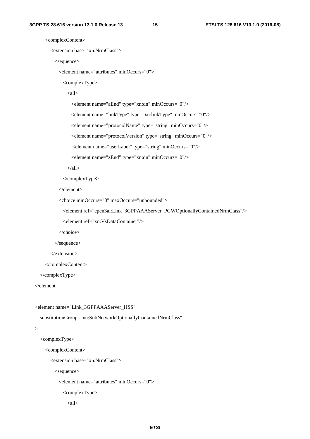<complexContent>

```
 <extension base="xn:NrmClass">
```
<sequence>

```
 <element name="attributes" minOccurs="0">
```
<complexType>

 $\langle$ all $\rangle$ 

<element name="aEnd" type="xn:dn" minOccurs="0"/>

<element name="linkType" type="xn:linkType" minOccurs="0"/>

<element name="protocolName" type="string" minOccurs="0"/>

<element name="protocolVersion" type="string" minOccurs="0"/>

<element name="userLabel" type="string" minOccurs="0"/>

<element name="zEnd" type="xn:dn" minOccurs="0"/>

 $\langle \text{all} \rangle$ 

</complexType>

</element>

```
 <choice minOccurs="0" maxOccurs="unbounded">
```
<element ref="epcn3ai:Link\_3GPPAAAServer\_PGWOptionallyContainedNrmClass"/>

<element ref="xn:VsDataContainer"/>

</choice>

</sequence>

</extension>

</complexContent>

</complexType>

</element

```
 <element name="Link_3GPPAAAServer_HSS"
```
substitutionGroup="xn:SubNetworkOptionallyContainedNrmClass"

```
 >
```

```
 <complexType>
```
<complexContent>

<extension base="xn:NrmClass">

<sequence>

<element name="attributes" minOccurs="0">

<complexType>

 $\langle$ all $\rangle$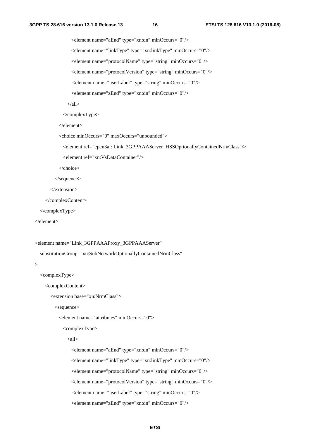<element name="aEnd" type="xn:dn" minOccurs="0"/> <element name="linkType" type="xn:linkType" minOccurs="0"/> <element name="protocolName" type="string" minOccurs="0"/> <element name="protocolVersion" type="string" minOccurs="0"/> <element name="userLabel" type="string" minOccurs="0"/> <element name="zEnd" type="xn:dn" minOccurs="0"/>

 $\langle \text{all} \rangle$ 

</complexType>

</element>

<choice minOccurs="0" maxOccurs="unbounded">

<element ref="epcn3ai: Link\_3GPPAAAServer\_HSSOptionallyContainedNrmClass"/>

```
 <element ref="xn:VsDataContainer"/>
```
</choice>

</sequence>

</extension>

</complexContent>

</complexType>

</element>

```
 <element name="Link_3GPPAAAProxy_3GPPAAAServer"
```
substitutionGroup="xn:SubNetworkOptionallyContainedNrmClass"

```
 >
```
<complexType>

<complexContent>

<extension base="xn:NrmClass">

<sequence>

<element name="attributes" minOccurs="0">

```
 <complexType>
```
 $\langle$ all $\rangle$ 

 <element name="aEnd" type="xn:dn" minOccurs="0"/> <element name="linkType" type="xn:linkType" minOccurs="0"/> <element name="protocolName" type="string" minOccurs="0"/> <element name="protocolVersion" type="string" minOccurs="0"/> <element name="userLabel" type="string" minOccurs="0"/> <element name="zEnd" type="xn:dn" minOccurs="0"/>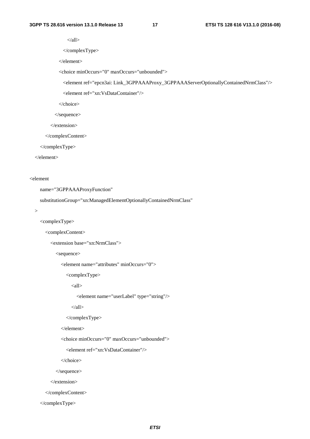$\langle$ all $\rangle$ 

</complexType>

</element>

<choice minOccurs="0" maxOccurs="unbounded">

<element ref="epcn3ai: Link\_3GPPAAAProxy\_3GPPAAAServerOptionallyContainedNrmClass"/>

<element ref="xn:VsDataContainer"/>

</choice>

</sequence>

</extension>

</complexContent>

</complexType>

</element>

#### <element

name="3GPPAAAProxyFunction"

substitutionGroup="xn:ManagedElementOptionallyContainedNrmClass"

>

<complexType>

<complexContent>

<extension base="xn:NrmClass">

<sequence>

<element name="attributes" minOccurs="0">

<complexType>

 $\langle$ all $\rangle$ 

<element name="userLabel" type="string"/>

 $\langle \text{all} \rangle$ 

</complexType>

</element>

<choice minOccurs="0" maxOccurs="unbounded">

<element ref="xn:VsDataContainer"/>

</choice>

</sequence>

</extension>

</complexContent>

</complexType>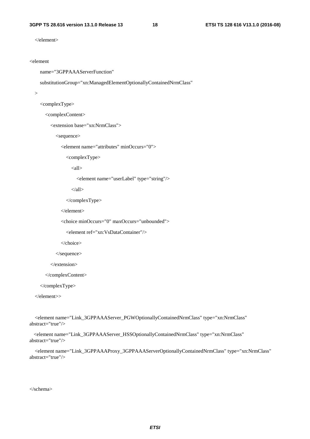</element>

```
<element
```
name="3GPPAAAServerFunction"

```
 substitutionGroup="xn:ManagedElementOptionallyContainedNrmClass"
```

```
 >
```

```
 <complexType>
```
<complexContent>

<extension base="xn:NrmClass">

<sequence>

<element name="attributes" minOccurs="0">

<complexType>

 $\langle$ all $>$ 

```
 <element name="userLabel" type="string"/>
```
 $\langle \text{all} \rangle$ 

</complexType>

</element>

```
 <choice minOccurs="0" maxOccurs="unbounded">
```

```
 <element ref="xn:VsDataContainer"/>
```
</choice>

</sequence>

</extension>

</complexContent>

</complexType>

</element>>

 <element name="Link\_3GPPAAAServer\_PGWOptionallyContainedNrmClass" type="xn:NrmClass" abstract="true"/>

 <element name="Link\_3GPPAAAServer\_HSSOptionallyContainedNrmClass" type="xn:NrmClass" abstract="true"/>

 <element name="Link\_3GPPAAAProxy\_3GPPAAAServerOptionallyContainedNrmClass" type="xn:NrmClass" abstract="true"/>

</schema>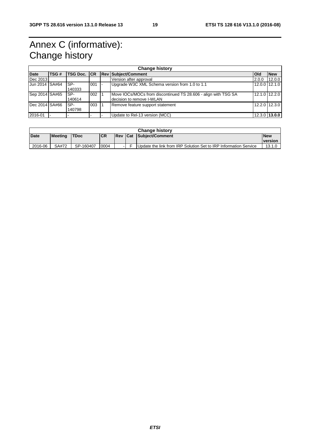## Annex C (informative): Change history

| <b>Change history</b> |      |                    |     |  |                                                                                             |            |               |
|-----------------------|------|--------------------|-----|--|---------------------------------------------------------------------------------------------|------------|---------------|
| <b>Date</b>           | TSG# | <b>TSG Doc. CR</b> |     |  | <b>Rev Subject/Comment</b>                                                                  | <b>Old</b> | <b>New</b>    |
| Dec 2013              |      |                    |     |  | Version after approval                                                                      | 2.0.0      | 12.0.0        |
| Jun 2014 SA#64        |      | ISP-<br>140333     | 001 |  | Upgrade W3C XML Schema version from 1.0 to 1.1                                              |            | 12.0.0 12.1.0 |
| Sep 2014 SA#65        |      | ISP-<br>140614     | 002 |  | Move IOCs/MOCs from discontinued TS 28.606 - align with TSG SA<br>decision to remove I-WLAN |            | 12.1.0 12.2.0 |
| Dec 2014 SA#66        |      | ISP-<br>140798     | 003 |  | Remove feature support statement                                                            |            | 12.2.0 12.3.0 |
| 2016-01               |      |                    |     |  | Update to Rel-13 version (MCC)                                                              |            | 12.3.0 13.0.0 |

| <b>Change history</b> |                |             |            |       |     |                                                                  |                |
|-----------------------|----------------|-------------|------------|-------|-----|------------------------------------------------------------------|----------------|
| <b>Date</b>           | <b>Meeting</b> | <b>TDoc</b> | <b>ICR</b> | l Rev | Cat | Subject/Comment                                                  | <b>New</b>     |
|                       |                |             |            |       |     |                                                                  | <b>version</b> |
| 2016-06               | SA#72          | SP-160407   | 0004       | - 1   |     | Update the link from IRP Solution Set to IRP Information Service | 13.1.0         |